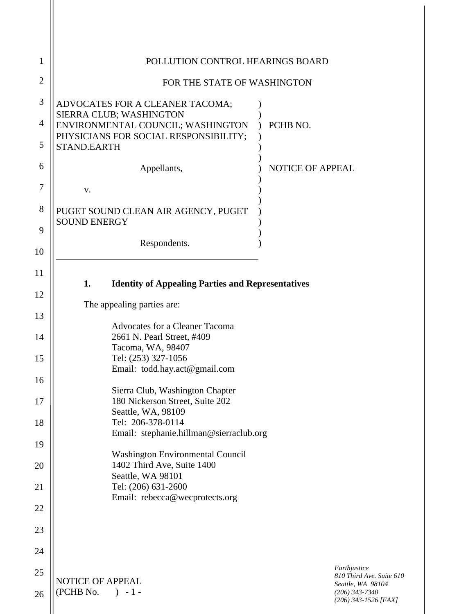| 1              | POLLUTION CONTROL HEARINGS BOARD                                                                      |                         |                                                                                           |
|----------------|-------------------------------------------------------------------------------------------------------|-------------------------|-------------------------------------------------------------------------------------------|
| $\overline{2}$ | FOR THE STATE OF WASHINGTON                                                                           |                         |                                                                                           |
| 3              | ADVOCATES FOR A CLEANER TACOMA;                                                                       |                         |                                                                                           |
| 4              | SIERRA CLUB; WASHINGTON<br>ENVIRONMENTAL COUNCIL; WASHINGTON<br>PHYSICIANS FOR SOCIAL RESPONSIBILITY; | PCHB NO.                |                                                                                           |
| 5              | <b>STAND.EARTH</b>                                                                                    |                         |                                                                                           |
| 6              | Appellants,                                                                                           | <b>NOTICE OF APPEAL</b> |                                                                                           |
| 7              | V.                                                                                                    |                         |                                                                                           |
| 8              | PUGET SOUND CLEAN AIR AGENCY, PUGET<br><b>SOUND ENERGY</b>                                            |                         |                                                                                           |
| 9              | Respondents.                                                                                          |                         |                                                                                           |
| 10             |                                                                                                       |                         |                                                                                           |
| 11             | 1.<br><b>Identity of Appealing Parties and Representatives</b>                                        |                         |                                                                                           |
| 12             | The appealing parties are:                                                                            |                         |                                                                                           |
| 13             | <b>Advocates for a Cleaner Tacoma</b>                                                                 |                         |                                                                                           |
| 14             | 2661 N. Pearl Street, #409<br>Tacoma, WA, 98407                                                       |                         |                                                                                           |
| 15             | Tel: (253) 327-1056                                                                                   |                         |                                                                                           |
| 16             | Email: todd.hay.act@gmail.com                                                                         |                         |                                                                                           |
| 17             | Sierra Club, Washington Chapter<br>180 Nickerson Street, Suite 202                                    |                         |                                                                                           |
| 18             | Seattle, WA, 98109<br>Tel: 206-378-0114                                                               |                         |                                                                                           |
| 19             | Email: stephanie.hillman@sierraclub.org                                                               |                         |                                                                                           |
| 20             | <b>Washington Environmental Council</b><br>1402 Third Ave, Suite 1400                                 |                         |                                                                                           |
| 21             | Seattle, WA 98101<br>Tel: (206) 631-2600                                                              |                         |                                                                                           |
| 22             | Email: rebecca@wecprotects.org                                                                        |                         |                                                                                           |
| 23             |                                                                                                       |                         |                                                                                           |
| 24             |                                                                                                       |                         |                                                                                           |
| 25             |                                                                                                       |                         | Earthjustice                                                                              |
| 26             | NOTICE OF APPEAL<br>(PCHB No.<br>$) - 1 -$                                                            |                         | 810 Third Ave. Suite 610<br>Seattle, WA 98104<br>$(206)$ 343-7340<br>(206) 343-1526 [FAX] |
|                |                                                                                                       |                         |                                                                                           |

Ш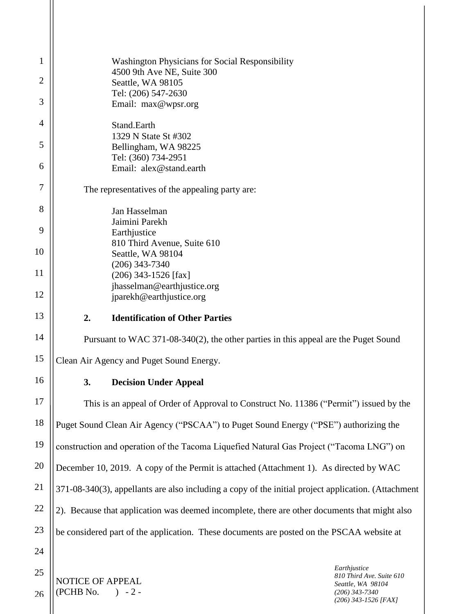| 1              | <b>Washington Physicians for Social Responsibility</b>                                              |  |  |
|----------------|-----------------------------------------------------------------------------------------------------|--|--|
| $\overline{2}$ | 4500 9th Ave NE, Suite 300<br>Seattle, WA 98105                                                     |  |  |
|                | Tel: (206) 547-2630                                                                                 |  |  |
| 3              | Email: max@wpsr.org                                                                                 |  |  |
| 4              | Stand.Earth<br>1329 N State St #302                                                                 |  |  |
| 5              | Bellingham, WA 98225                                                                                |  |  |
| 6              | Tel: (360) 734-2951<br>Email: alex@stand.earth                                                      |  |  |
| 7              | The representatives of the appealing party are:                                                     |  |  |
| 8              |                                                                                                     |  |  |
|                | Jan Hasselman<br>Jaimini Parekh                                                                     |  |  |
| 9              | Earthjustice                                                                                        |  |  |
| 10             | 810 Third Avenue, Suite 610<br>Seattle, WA 98104                                                    |  |  |
| 11             | $(206)$ 343-7340                                                                                    |  |  |
|                | $(206)$ 343-1526 [fax]<br>jhasselman@earthjustice.org                                               |  |  |
| 12             | jparekh@earthjustice.org                                                                            |  |  |
| 13             | <b>Identification of Other Parties</b><br>2.                                                        |  |  |
| 14             | Pursuant to WAC 371-08-340(2), the other parties in this appeal are the Puget Sound                 |  |  |
| 15             | Clean Air Agency and Puget Sound Energy.                                                            |  |  |
| 16             | 3.<br><b>Decision Under Appeal</b>                                                                  |  |  |
| 17             | This is an appeal of Order of Approval to Construct No. 11386 ("Permit") issued by the              |  |  |
| 18             | Puget Sound Clean Air Agency ("PSCAA") to Puget Sound Energy ("PSE") authorizing the                |  |  |
| 19             | construction and operation of the Tacoma Liquefied Natural Gas Project ("Tacoma LNG") on            |  |  |
| 20             | December 10, 2019. A copy of the Permit is attached (Attachment 1). As directed by WAC              |  |  |
| 21             | 371-08-340(3), appellants are also including a copy of the initial project application. (Attachment |  |  |
| 22             | 2). Because that application was deemed incomplete, there are other documents that might also       |  |  |
| 23             | be considered part of the application. These documents are posted on the PSCAA website at           |  |  |
| 24             |                                                                                                     |  |  |
| 25             | Earthjustice<br>810 Third Ave. Suite 610<br><b>NOTICE OF APPEAL</b>                                 |  |  |
| 26             | Seattle, WA 98104<br>(PCHB No.<br>$) - 2 -$<br>$(206)$ 343-7340<br>(206) 343-1526 [FAX]             |  |  |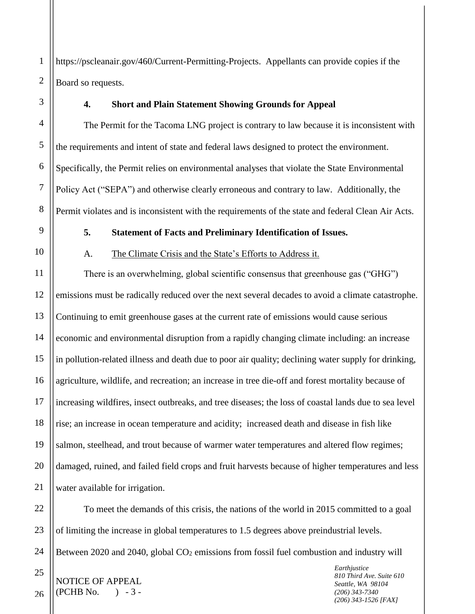2 https://pscleanair.gov/460/Current-Permitting-Projects. Appellants can provide copies if the Board so requests.

1

3

4

5

6

7

8

9

10

11

21

25

26

### **4. Short and Plain Statement Showing Grounds for Appeal**

The Permit for the Tacoma LNG project is contrary to law because it is inconsistent with the requirements and intent of state and federal laws designed to protect the environment. Specifically, the Permit relies on environmental analyses that violate the State Environmental Policy Act ("SEPA") and otherwise clearly erroneous and contrary to law. Additionally, the Permit violates and is inconsistent with the requirements of the state and federal Clean Air Acts.

## **5. Statement of Facts and Preliminary Identification of Issues.**

#### A. The Climate Crisis and the State's Efforts to Address it.

12 13 14 15 16 17 18 19 20 There is an overwhelming, global scientific consensus that greenhouse gas ("GHG") emissions must be radically reduced over the next several decades to avoid a climate catastrophe. Continuing to emit greenhouse gases at the current rate of emissions would cause serious economic and environmental disruption from a rapidly changing climate including: an increase in pollution-related illness and death due to poor air quality; declining water supply for drinking, agriculture, wildlife, and recreation; an increase in tree die-off and forest mortality because of increasing wildfires, insect outbreaks, and tree diseases; the loss of coastal lands due to sea level rise; an increase in ocean temperature and acidity; increased death and disease in fish like salmon, steelhead, and trout because of warmer water temperatures and altered flow regimes; damaged, ruined, and failed field crops and fruit harvests because of higher temperatures and less water available for irrigation.

22 23 24 To meet the demands of this crisis, the nations of the world in 2015 committed to a goal of limiting the increase in global temperatures to 1.5 degrees above preindustrial levels. Between 2020 and 2040, global  $CO<sub>2</sub>$  emissions from fossil fuel combustion and industry will

NOTICE OF APPEAL  $(PCHB No. ) - 3 -$ 

*Earthjustice 810 Third Ave. Suite 610 Seattle, WA 98104 (206) 343-7340 (206) 343-1526 [FAX]*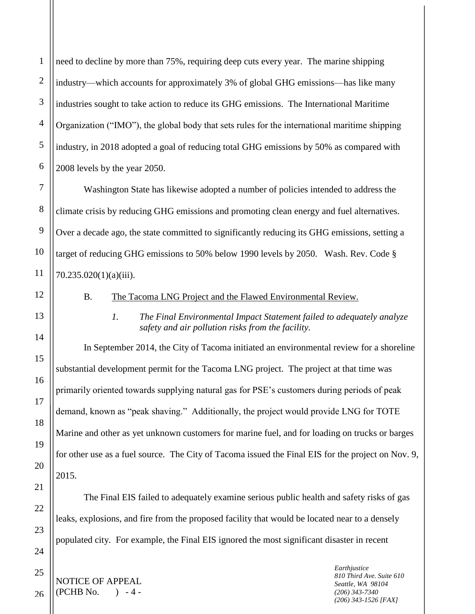2 3 4 need to decline by more than 75%, requiring deep cuts every year. The marine shipping industry—which accounts for approximately 3% of global GHG emissions—has like many industries sought to take action to reduce its GHG emissions. The International Maritime Organization ("IMO"), the global body that sets rules for the international maritime shipping industry, in 2018 adopted a goal of reducing total GHG emissions by 50% as compared with 2008 levels by the year 2050.

Washington State has likewise adopted a number of policies intended to address the climate crisis by reducing GHG emissions and promoting clean energy and fuel alternatives. Over a decade ago, the state committed to significantly reducing its GHG emissions, setting a target of reducing GHG emissions to 50% below 1990 levels by 2050. Wash. Rev. Code § 70.235.020(1)(a)(iii).

#### B. The Tacoma LNG Project and the Flawed Environmental Review.

*1. The Final Environmental Impact Statement failed to adequately analyze safety and air pollution risks from the facility.*

In September 2014, the City of Tacoma initiated an environmental review for a shoreline substantial development permit for the Tacoma LNG project. The project at that time was primarily oriented towards supplying natural gas for PSE's customers during periods of peak demand, known as "peak shaving." Additionally, the project would provide LNG for TOTE Marine and other as yet unknown customers for marine fuel, and for loading on trucks or barges for other use as a fuel source. The City of Tacoma issued the Final EIS for the project on Nov. 9, 2015.

The Final EIS failed to adequately examine serious public health and safety risks of gas leaks, explosions, and fire from the proposed facility that would be located near to a densely populated city. For example, the Final EIS ignored the most significant disaster in recent

NOTICE OF APPEAL  $(PCHB No. ) - 4 -$ 

*Earthjustice 810 Third Ave. Suite 610 Seattle, WA 98104 (206) 343-7340 (206) 343-1526 [FAX]*

26

1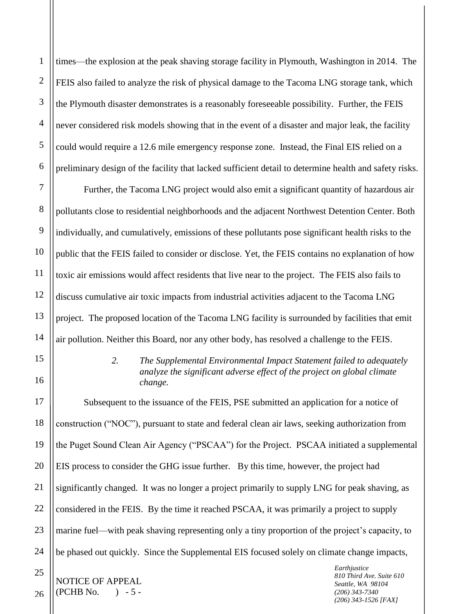1 2 3 4 5 6 7 8 times—the explosion at the peak shaving storage facility in Plymouth, Washington in 2014. The FEIS also failed to analyze the risk of physical damage to the Tacoma LNG storage tank, which the Plymouth disaster demonstrates is a reasonably foreseeable possibility. Further, the FEIS never considered risk models showing that in the event of a disaster and major leak, the facility could would require a 12.6 mile emergency response zone. Instead, the Final EIS relied on a preliminary design of the facility that lacked sufficient detail to determine health and safety risks. Further, the Tacoma LNG project would also emit a significant quantity of hazardous air

pollutants close to residential neighborhoods and the adjacent Northwest Detention Center. Both individually, and cumulatively, emissions of these pollutants pose significant health risks to the public that the FEIS failed to consider or disclose. Yet, the FEIS contains no explanation of how toxic air emissions would affect residents that live near to the project. The FEIS also fails to discuss cumulative air toxic impacts from industrial activities adjacent to the Tacoma LNG project. The proposed location of the Tacoma LNG facility is surrounded by facilities that emit air pollution. Neither this Board, nor any other body, has resolved a challenge to the FEIS.

### *2. The Supplemental Environmental Impact Statement failed to adequately analyze the significant adverse effect of the project on global climate change.*

*Earthjustice* Subsequent to the issuance of the FEIS, PSE submitted an application for a notice of construction ("NOC"), pursuant to state and federal clean air laws, seeking authorization from the Puget Sound Clean Air Agency ("PSCAA") for the Project. PSCAA initiated a supplemental EIS process to consider the GHG issue further. By this time, however, the project had significantly changed. It was no longer a project primarily to supply LNG for peak shaving, as considered in the FEIS. By the time it reached PSCAA, it was primarily a project to supply marine fuel—with peak shaving representing only a tiny proportion of the project's capacity, to be phased out quickly. Since the Supplemental EIS focused solely on climate change impacts,

*810 Third Ave. Suite 610 Seattle, WA 98104 (206) 343-7340 (206) 343-1526 [FAX]*

9

26

NOTICE OF APPEAL  $(PCHB No. \t) - 5 -$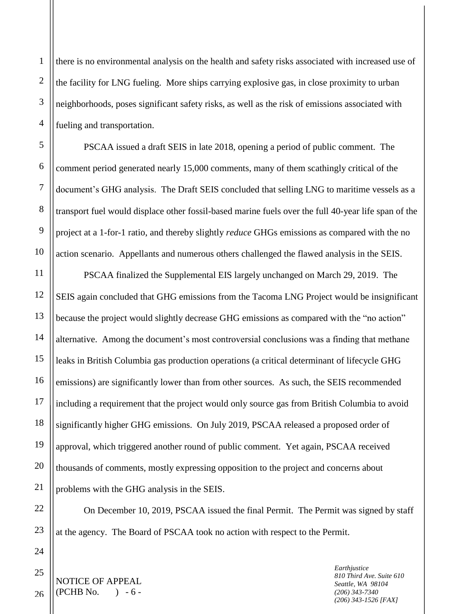there is no environmental analysis on the health and safety risks associated with increased use of the facility for LNG fueling. More ships carrying explosive gas, in close proximity to urban neighborhoods, poses significant safety risks, as well as the risk of emissions associated with fueling and transportation.

PSCAA issued a draft SEIS in late 2018, opening a period of public comment. The comment period generated nearly 15,000 comments, many of them scathingly critical of the document's GHG analysis. The Draft SEIS concluded that selling LNG to maritime vessels as a transport fuel would displace other fossil-based marine fuels over the full 40-year life span of the project at a 1-for-1 ratio, and thereby slightly *reduce* GHGs emissions as compared with the no action scenario. Appellants and numerous others challenged the flawed analysis in the SEIS.

PSCAA finalized the Supplemental EIS largely unchanged on March 29, 2019. The SEIS again concluded that GHG emissions from the Tacoma LNG Project would be insignificant because the project would slightly decrease GHG emissions as compared with the "no action" alternative. Among the document's most controversial conclusions was a finding that methane leaks in British Columbia gas production operations (a critical determinant of lifecycle GHG emissions) are significantly lower than from other sources. As such, the SEIS recommended including a requirement that the project would only source gas from British Columbia to avoid significantly higher GHG emissions. On July 2019, PSCAA released a proposed order of approval, which triggered another round of public comment. Yet again, PSCAA received thousands of comments, mostly expressing opposition to the project and concerns about problems with the GHG analysis in the SEIS.

On December 10, 2019, PSCAA issued the final Permit. The Permit was signed by staff at the agency. The Board of PSCAA took no action with respect to the Permit.

NOTICE OF APPEAL  $(PCHB No. \qquad ) - 6 -$ 

*Earthjustice 810 Third Ave. Suite 610 Seattle, WA 98104 (206) 343-7340 (206) 343-1526 [FAX]*

1

2

3

4

5

6

7

8

9

10

11

12

13

14

15

16

17

18

19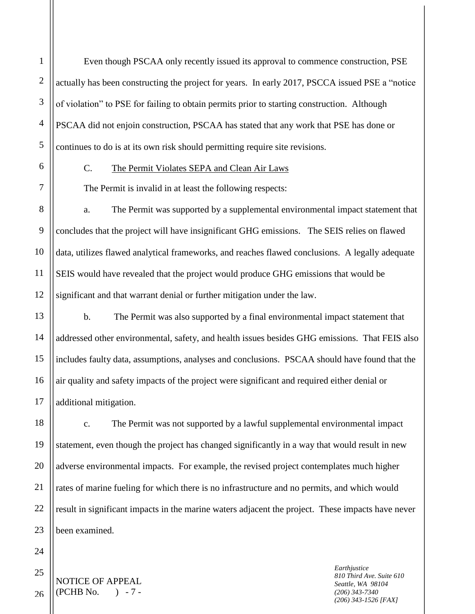Even though PSCAA only recently issued its approval to commence construction, PSE actually has been constructing the project for years. In early 2017, PSCCA issued PSE a "notice of violation" to PSE for failing to obtain permits prior to starting construction. Although PSCAA did not enjoin construction, PSCAA has stated that any work that PSE has done or continues to do is at its own risk should permitting require site revisions.

1

2

3

4

5

6

7

8

9

10

11

12

13

14

15

16

17

18

19

20

21

22

24

25

26

#### C. The Permit Violates SEPA and Clean Air Laws

The Permit is invalid in at least the following respects:

a. The Permit was supported by a supplemental environmental impact statement that concludes that the project will have insignificant GHG emissions. The SEIS relies on flawed data, utilizes flawed analytical frameworks, and reaches flawed conclusions. A legally adequate SEIS would have revealed that the project would produce GHG emissions that would be significant and that warrant denial or further mitigation under the law.

b. The Permit was also supported by a final environmental impact statement that addressed other environmental, safety, and health issues besides GHG emissions. That FEIS also includes faulty data, assumptions, analyses and conclusions. PSCAA should have found that the air quality and safety impacts of the project were significant and required either denial or additional mitigation.

23 c. The Permit was not supported by a lawful supplemental environmental impact statement, even though the project has changed significantly in a way that would result in new adverse environmental impacts. For example, the revised project contemplates much higher rates of marine fueling for which there is no infrastructure and no permits, and which would result in significant impacts in the marine waters adjacent the project. These impacts have never been examined.

NOTICE OF APPEAL  $(PCHB No. \t) - 7 -$ 

*Earthjustice 810 Third Ave. Suite 610 Seattle, WA 98104 (206) 343-7340 (206) 343-1526 [FAX]*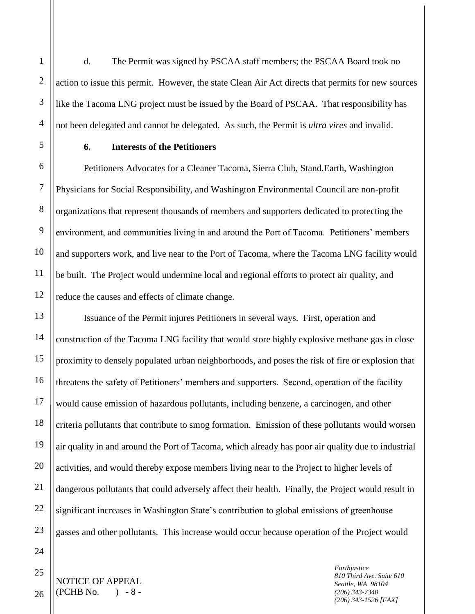d. The Permit was signed by PSCAA staff members; the PSCAA Board took no action to issue this permit. However, the state Clean Air Act directs that permits for new sources like the Tacoma LNG project must be issued by the Board of PSCAA. That responsibility has not been delegated and cannot be delegated. As such, the Permit is *ultra vires* and invalid.

1

2

3

4

5

6

7

8

9

10

11

12

13

14

15

16

17

18

19

# **6. Interests of the Petitioners**

Petitioners Advocates for a Cleaner Tacoma, Sierra Club, Stand.Earth, Washington Physicians for Social Responsibility, and Washington Environmental Council are non-profit organizations that represent thousands of members and supporters dedicated to protecting the environment, and communities living in and around the Port of Tacoma. Petitioners' members and supporters work, and live near to the Port of Tacoma, where the Tacoma LNG facility would be built. The Project would undermine local and regional efforts to protect air quality, and reduce the causes and effects of climate change.

Issuance of the Permit injures Petitioners in several ways. First, operation and construction of the Tacoma LNG facility that would store highly explosive methane gas in close proximity to densely populated urban neighborhoods, and poses the risk of fire or explosion that threatens the safety of Petitioners' members and supporters. Second, operation of the facility would cause emission of hazardous pollutants, including benzene, a carcinogen, and other criteria pollutants that contribute to smog formation. Emission of these pollutants would worsen air quality in and around the Port of Tacoma, which already has poor air quality due to industrial activities, and would thereby expose members living near to the Project to higher levels of dangerous pollutants that could adversely affect their health. Finally, the Project would result in significant increases in Washington State's contribution to global emissions of greenhouse gasses and other pollutants. This increase would occur because operation of the Project would

26

NOTICE OF APPEAL  $(PCHB No. \t) - 8 -$ 

*Earthjustice 810 Third Ave. Suite 610 Seattle, WA 98104 (206) 343-7340 (206) 343-1526 [FAX]*